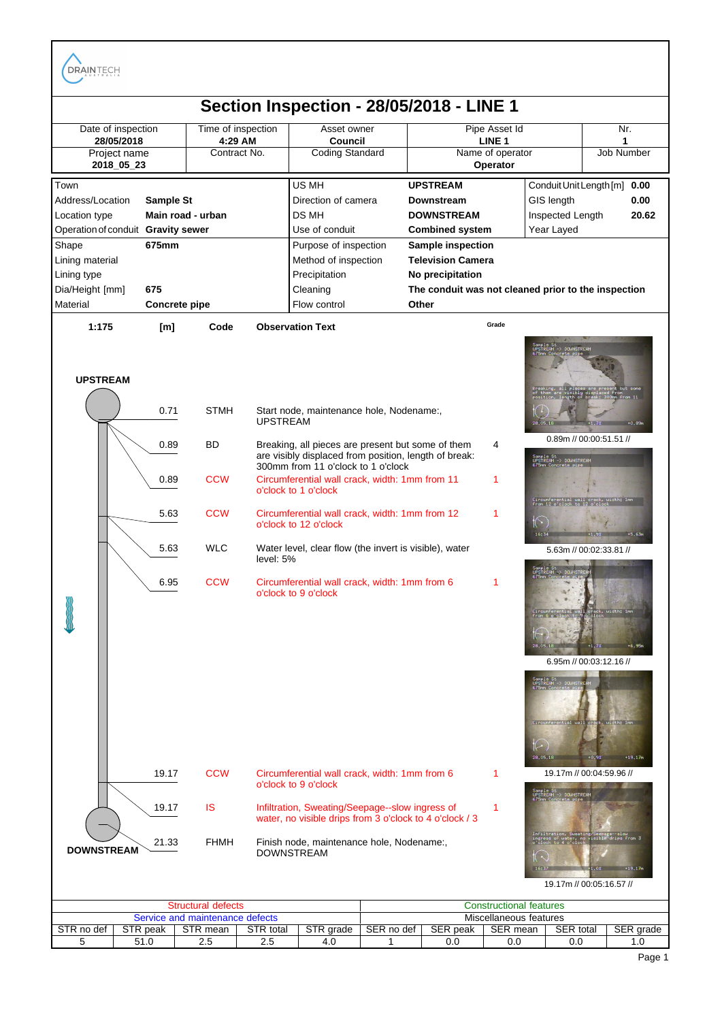DRAINTECH



| ructura                         |          |                    |                     | <b>Constructional features</b> |                 |                      |                    |                  |           |
|---------------------------------|----------|--------------------|---------------------|--------------------------------|-----------------|----------------------|--------------------|------------------|-----------|
| Service and maintenance defects |          |                    |                     | Miscellaneous features         |                 |                      |                    |                  |           |
| STR no def                      | STR peak | <b>STR</b><br>mean | <b>STR</b><br>total | STP<br>grade                   | SER<br>≀ no def | SER peak             | <b>SER</b><br>mean | <b>SER</b> total | SER grade |
|                                 | ◡ ៲ 、∪   | ۵. ک               | ے ۔                 | 4.U                            |                 | $\sim$ $\sim$<br>v.v | 0.C                | 0.0              | ن. ا      |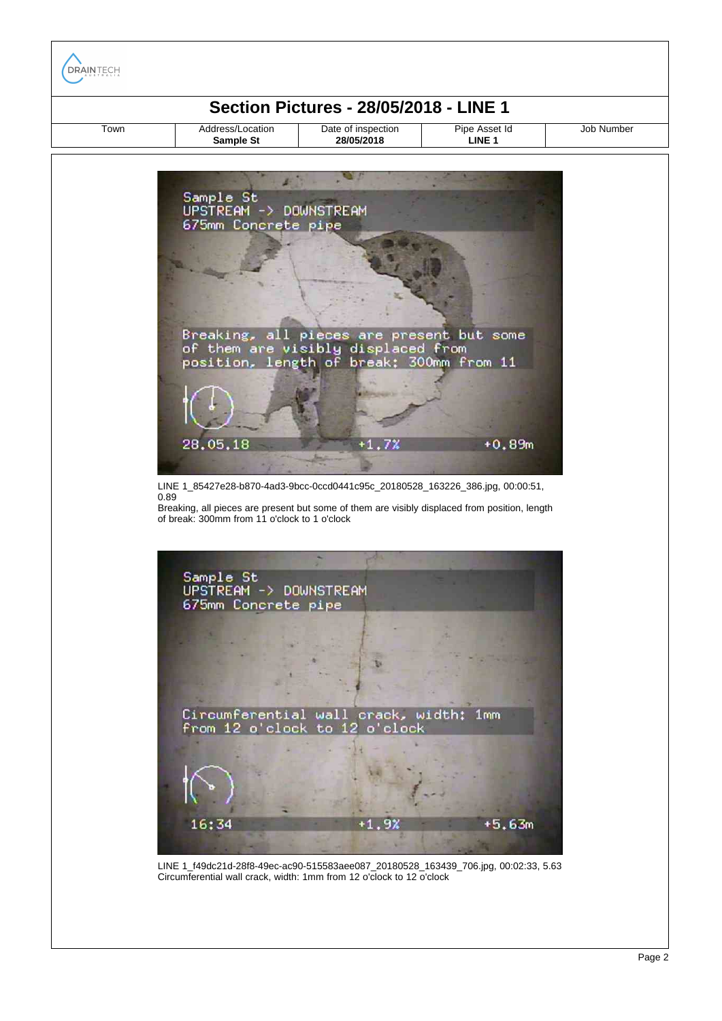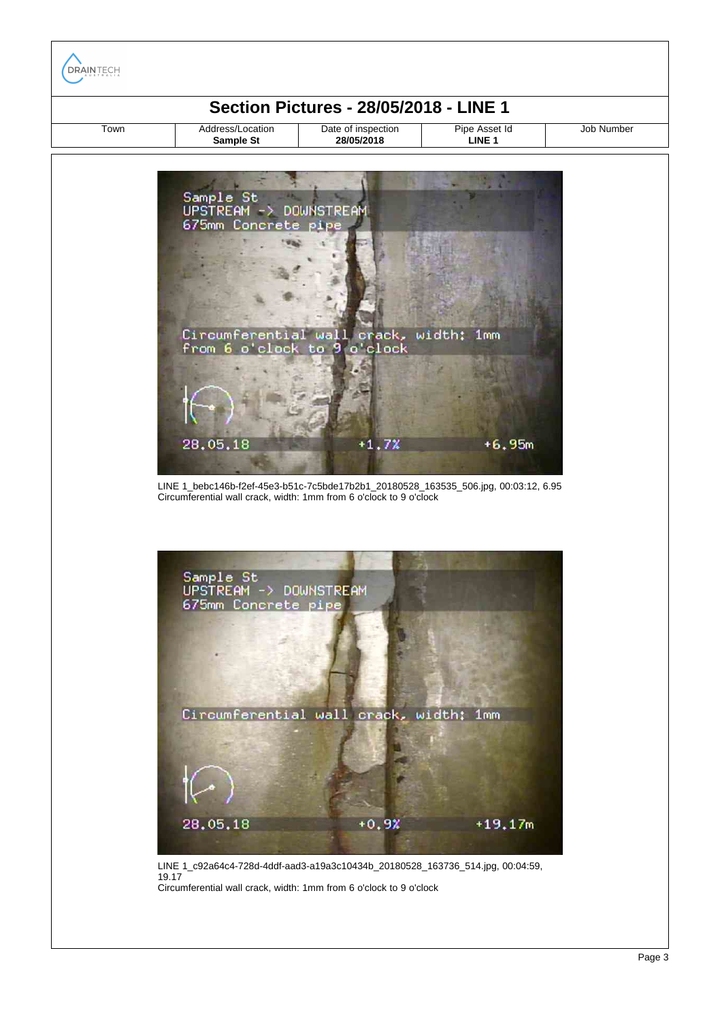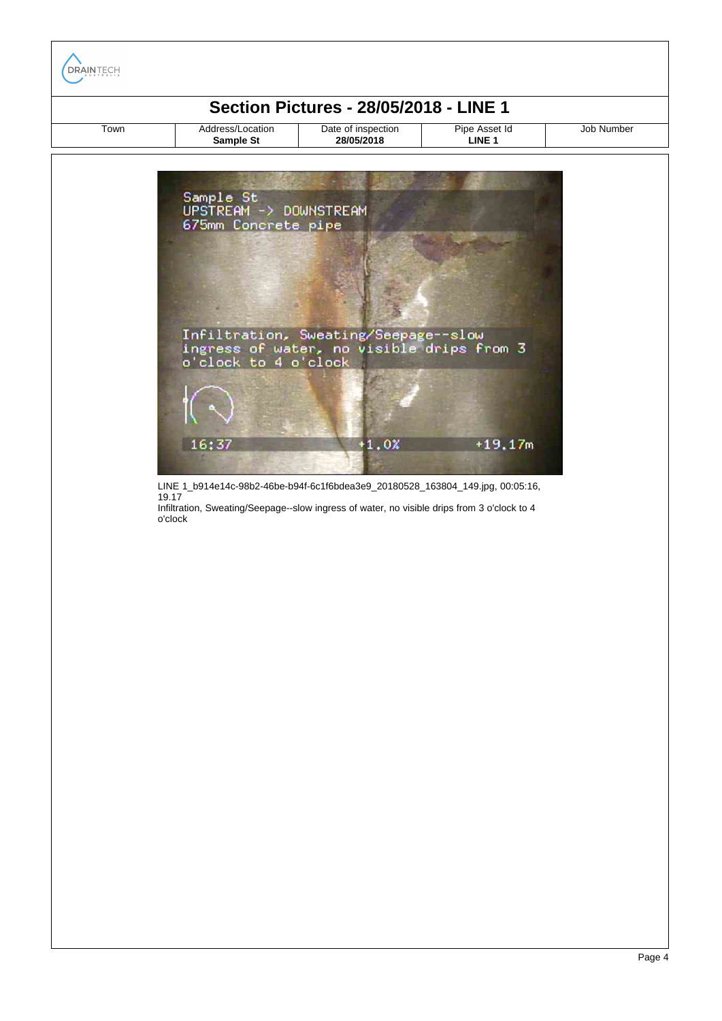| <b>Section Pictures - 28/05/2018 - LINE 1</b> |                                                            |                                                                                                           |                                    |            |  |  |  |  |  |
|-----------------------------------------------|------------------------------------------------------------|-----------------------------------------------------------------------------------------------------------|------------------------------------|------------|--|--|--|--|--|
| Town                                          | Address/Location<br>Sample St                              | Date of inspection<br>28/05/2018                                                                          | Pipe Asset Id<br>LINE <sub>1</sub> | Job Number |  |  |  |  |  |
|                                               | Sample St<br>UPSTREAM -> DOWNSTREAM<br>675mm Concrete pipe | Infiltration, Sweating/Seepage--slow<br>ingress of water, no visible drips from 3<br>o'clock to 4 o'clock |                                    |            |  |  |  |  |  |
|                                               |                                                            |                                                                                                           |                                    |            |  |  |  |  |  |

LINE 1\_b914e14c-98b2-46be-b94f-6c1f6bdea3e9\_20180528\_163804\_149.jpg, 00:05:16, 19.17

Infiltration, Sweating/Seepage--slow ingress of water, no visible drips from 3 o'clock to 4 o'clock